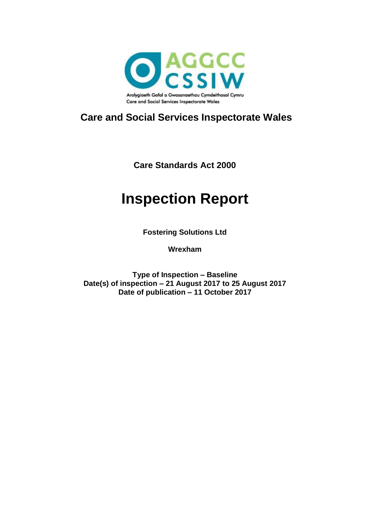

## **Care and Social Services Inspectorate Wales**

**Care Standards Act 2000**

# **Inspection Report**

**Fostering Solutions Ltd**

**Wrexham**

**Type of Inspection – Baseline Date(s) of inspection – 21 August 2017 to 25 August 2017 Date of publication – 11 October 2017**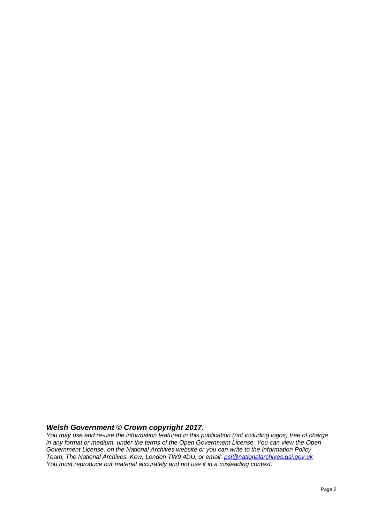#### *Welsh Government © Crown copyright 2017.*

*You may use and re-use the information featured in this publication (not including logos) free of charge in any format or medium, under the terms of the Open Government License. You can view the Open Government License, on the National Archives website or you can write to the Information Policy Team, The National Archives, Kew, London TW9 4DU, or email: [psi@nationalarchives.gsi.gov.uk](mailto:psi@nationalarchives.gsi.gov.uk) You must reproduce our material accurately and not use it in a misleading context.*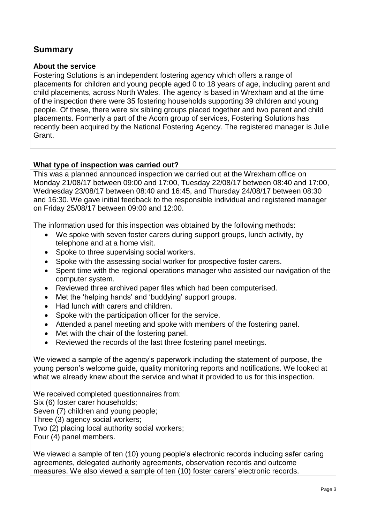### **Summary**

#### **About the service**

Fostering Solutions is an independent fostering agency which offers a range of placements for children and young people aged 0 to 18 years of age, including parent and child placements, across North Wales. The agency is based in Wrexham and at the time of the inspection there were 35 fostering households supporting 39 children and young people. Of these, there were six sibling groups placed together and two parent and child placements. Formerly a part of the Acorn group of services, Fostering Solutions has recently been acquired by the National Fostering Agency. The registered manager is Julie Grant.

#### **What type of inspection was carried out?**

This was a planned announced inspection we carried out at the Wrexham office on Monday 21/08/17 between 09:00 and 17:00, Tuesday 22/08/17 between 08:40 and 17:00, Wednesday 23/08/17 between 08:40 and 16:45, and Thursday 24/08/17 between 08:30 and 16:30. We gave initial feedback to the responsible individual and registered manager on Friday 25/08/17 between 09:00 and 12:00.

The information used for this inspection was obtained by the following methods:

- We spoke with seven foster carers during support groups, lunch activity, by telephone and at a home visit.
- Spoke to three supervising social workers.
- Spoke with the assessing social worker for prospective foster carers.
- Spent time with the regional operations manager who assisted our navigation of the computer system.
- Reviewed three archived paper files which had been computerised.
- Met the 'helping hands' and 'buddying' support groups.
- Had lunch with carers and children.
- Spoke with the participation officer for the service.
- Attended a panel meeting and spoke with members of the fostering panel.
- Met with the chair of the fostering panel.
- Reviewed the records of the last three fostering panel meetings.

We viewed a sample of the agency's paperwork including the statement of purpose, the young person's welcome guide, quality monitoring reports and notifications. We looked at what we already knew about the service and what it provided to us for this inspection.

We received completed questionnaires from: Six (6) foster carer households; Seven (7) children and young people; Three (3) agency social workers; Two (2) placing local authority social workers; Four (4) panel members.

We viewed a sample of ten (10) young people's electronic records including safer caring agreements, delegated authority agreements, observation records and outcome measures. We also viewed a sample of ten (10) foster carers' electronic records.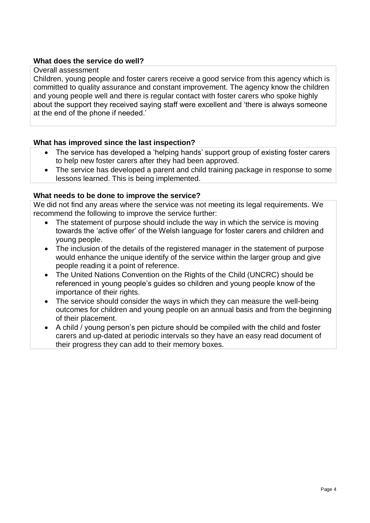#### **What does the service do well?**

#### Overall assessment

Children, young people and foster carers receive a good service from this agency which is committed to quality assurance and constant improvement. The agency know the children and young people well and there is regular contact with foster carers who spoke highly about the support they received saying staff were excellent and 'there is always someone at the end of the phone if needed.'

#### **What has improved since the last inspection?**

- The service has developed a 'helping hands' support group of existing foster carers to help new foster carers after they had been approved.
- The service has developed a parent and child training package in response to some lessons learned. This is being implemented.

#### **What needs to be done to improve the service?**

We did not find any areas where the service was not meeting its legal requirements. We recommend the following to improve the service further:

- The statement of purpose should include the way in which the service is moving towards the 'active offer' of the Welsh language for foster carers and children and young people.
- The inclusion of the details of the registered manager in the statement of purpose would enhance the unique identify of the service within the larger group and give people reading it a point of reference.
- The United Nations Convention on the Rights of the Child (UNCRC) should be referenced in young people's guides so children and young people know of the importance of their rights.
- The service should consider the ways in which they can measure the well-being outcomes for children and young people on an annual basis and from the beginning of their placement.
- A child / young person's pen picture should be compiled with the child and foster carers and up-dated at periodic intervals so they have an easy read document of their progress they can add to their memory boxes.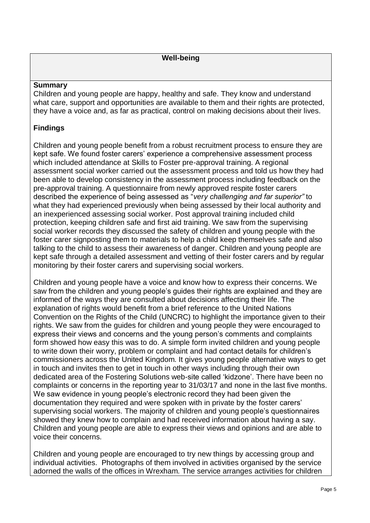#### **Summary**

Children and young people are happy, healthy and safe. They know and understand what care, support and opportunities are available to them and their rights are protected, they have a voice and, as far as practical, control on making decisions about their lives.

#### **Findings**

Children and young people benefit from a robust recruitment process to ensure they are kept safe. We found foster carers' experience a comprehensive assessment process which included attendance at Skills to Foster pre-approval training. A regional assessment social worker carried out the assessment process and told us how they had been able to develop consistency in the assessment process including feedback on the pre-approval training. A questionnaire from newly approved respite foster carers described the experience of being assessed as "*very challenging and far superior"* to what they had experienced previously when being assessed by their local authority and an inexperienced assessing social worker. Post approval training included child protection, keeping children safe and first aid training. We saw from the supervising social worker records they discussed the safety of children and young people with the foster carer signposting them to materials to help a child keep themselves safe and also talking to the child to assess their awareness of danger. Children and young people are kept safe through a detailed assessment and vetting of their foster carers and by regular monitoring by their foster carers and supervising social workers.

Children and young people have a voice and know how to express their concerns. We saw from the children and young people's guides their rights are explained and they are informed of the ways they are consulted about decisions affecting their life. The explanation of rights would benefit from a brief reference to the United Nations Convention on the Rights of the Child (UNCRC) to highlight the importance given to their rights. We saw from the guides for children and young people they were encouraged to express their views and concerns and the young person's comments and complaints form showed how easy this was to do. A simple form invited children and young people to write down their worry, problem or complaint and had contact details for children's commissioners across the United Kingdom. It gives young people alternative ways to get in touch and invites then to get in touch in other ways including through their own dedicated area of the Fostering Solutions web-site called 'kidzone'. There have been no complaints or concerns in the reporting year to 31/03/17 and none in the last five months. We saw evidence in young people's electronic record they had been given the documentation they required and were spoken with in private by the foster carers' supervising social workers. The majority of children and young people's questionnaires showed they knew how to complain and had received information about having a say. Children and young people are able to express their views and opinions and are able to voice their concerns.

Children and young people are encouraged to try new things by accessing group and individual activities. Photographs of them involved in activities organised by the service adorned the walls of the offices in Wrexham. The service arranges activities for children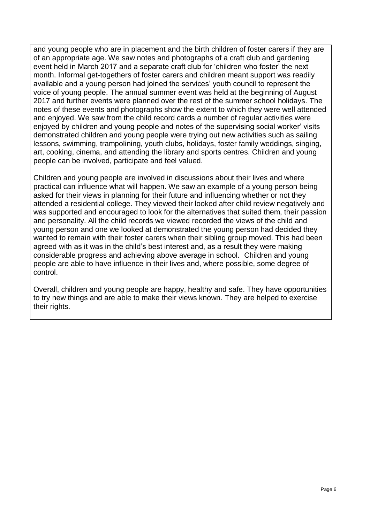and young people who are in placement and the birth children of foster carers if they are of an appropriate age. We saw notes and photographs of a craft club and gardening event held in March 2017 and a separate craft club for 'children who foster' the next month. Informal get-togethers of foster carers and children meant support was readily available and a young person had joined the services' youth council to represent the voice of young people. The annual summer event was held at the beginning of August 2017 and further events were planned over the rest of the summer school holidays. The notes of these events and photographs show the extent to which they were well attended and enjoyed. We saw from the child record cards a number of regular activities were enjoyed by children and young people and notes of the supervising social worker' visits demonstrated children and young people were trying out new activities such as sailing lessons, swimming, trampolining, youth clubs, holidays, foster family weddings, singing, art, cooking, cinema, and attending the library and sports centres. Children and young people can be involved, participate and feel valued.

Children and young people are involved in discussions about their lives and where practical can influence what will happen. We saw an example of a young person being asked for their views in planning for their future and influencing whether or not they attended a residential college. They viewed their looked after child review negatively and was supported and encouraged to look for the alternatives that suited them, their passion and personality. All the child records we viewed recorded the views of the child and young person and one we looked at demonstrated the young person had decided they wanted to remain with their foster carers when their sibling group moved. This had been agreed with as it was in the child's best interest and, as a result they were making considerable progress and achieving above average in school. Children and young people are able to have influence in their lives and, where possible, some degree of control.

Overall, children and young people are happy, healthy and safe. They have opportunities to try new things and are able to make their views known. They are helped to exercise their rights.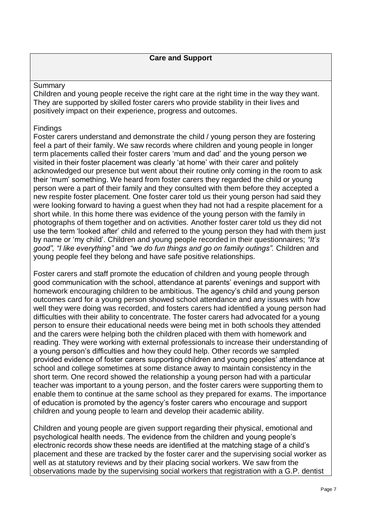#### Summary

Children and young people receive the right care at the right time in the way they want. They are supported by skilled foster carers who provide stability in their lives and positively impact on their experience, progress and outcomes.

#### **Findings**

Foster carers understand and demonstrate the child / young person they are fostering feel a part of their family. We saw records where children and young people in longer term placements called their foster carers 'mum and dad' and the young person we visited in their foster placement was clearly 'at home' with their carer and politely acknowledged our presence but went about their routine only coming in the room to ask their 'mum' something. We heard from foster carers they regarded the child or young person were a part of their family and they consulted with them before they accepted a new respite foster placement. One foster carer told us their young person had said they were looking forward to having a guest when they had not had a respite placement for a short while. In this home there was evidence of the young person with the family in photographs of them together and on activities. Another foster carer told us they did not use the term 'looked after' child and referred to the young person they had with them just by name or 'my child'. Children and young people recorded in their questionnaires; *"It's good", "I like everything"* and *"we do fun things and go on family outings".* Children and young people feel they belong and have safe positive relationships.

Foster carers and staff promote the education of children and young people through good communication with the school, attendance at parents' evenings and support with homework encouraging children to be ambitious. The agency's child and young person outcomes card for a young person showed school attendance and any issues with how well they were doing was recorded, and fosters carers had identified a young person had difficulties with their ability to concentrate. The foster carers had advocated for a young person to ensure their educational needs were being met in both schools they attended and the carers were helping both the children placed with them with homework and reading. They were working with external professionals to increase their understanding of a young person's difficulties and how they could help. Other records we sampled provided evidence of foster carers supporting children and young peoples' attendance at school and college sometimes at some distance away to maintain consistency in the short term. One record showed the relationship a young person had with a particular teacher was important to a young person, and the foster carers were supporting them to enable them to continue at the same school as they prepared for exams. The importance of education is promoted by the agency's foster carers who encourage and support children and young people to learn and develop their academic ability.

Children and young people are given support regarding their physical, emotional and psychological health needs. The evidence from the children and young people's electronic records show these needs are identified at the matching stage of a child's placement and these are tracked by the foster carer and the supervising social worker as well as at statutory reviews and by their placing social workers. We saw from the observations made by the supervising social workers that registration with a G.P. dentist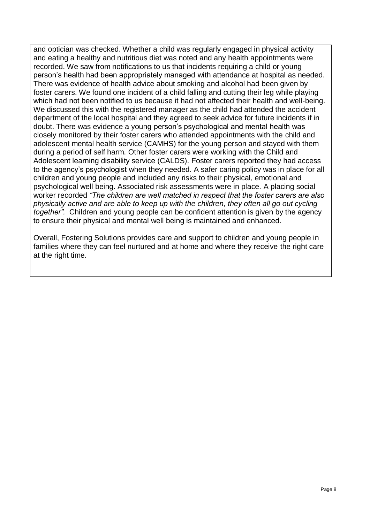and optician was checked. Whether a child was regularly engaged in physical activity and eating a healthy and nutritious diet was noted and any health appointments were recorded. We saw from notifications to us that incidents requiring a child or young person's health had been appropriately managed with attendance at hospital as needed. There was evidence of health advice about smoking and alcohol had been given by foster carers. We found one incident of a child falling and cutting their leg while playing which had not been notified to us because it had not affected their health and well-being. We discussed this with the registered manager as the child had attended the accident department of the local hospital and they agreed to seek advice for future incidents if in doubt. There was evidence a young person's psychological and mental health was closely monitored by their foster carers who attended appointments with the child and adolescent mental health service (CAMHS) for the young person and stayed with them during a period of self harm. Other foster carers were working with the Child and Adolescent learning disability service (CALDS). Foster carers reported they had access to the agency's psychologist when they needed. A safer caring policy was in place for all children and young people and included any risks to their physical, emotional and psychological well being. Associated risk assessments were in place. A placing social worker recorded *"The children are well matched in respect that the foster carers are also physically active and are able to keep up with the children, they often all go out cycling together".* Children and young people can be confident attention is given by the agency to ensure their physical and mental well being is maintained and enhanced.

Overall, Fostering Solutions provides care and support to children and young people in families where they can feel nurtured and at home and where they receive the right care at the right time.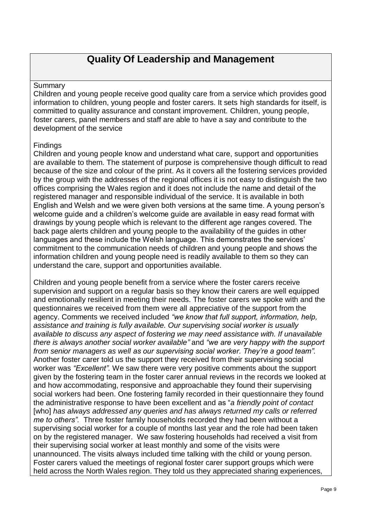## **Quality Of Leadership and Management**

#### Summary

Children and young people receive good quality care from a service which provides good information to children, young people and foster carers. It sets high standards for itself, is committed to quality assurance and constant improvement. Children, young people, foster carers, panel members and staff are able to have a say and contribute to the development of the service

#### Findings

Children and young people know and understand what care, support and opportunities are available to them. The statement of purpose is comprehensive though difficult to read because of the size and colour of the print. As it covers all the fostering services provided by the group with the addresses of the regional offices it is not easy to distinguish the two offices comprising the Wales region and it does not include the name and detail of the registered manager and responsible individual of the service. It is available in both English and Welsh and we were given both versions at the same time. A young person's welcome guide and a children's welcome guide are available in easy read format with drawings by young people which is relevant to the different age ranges covered. The back page alerts children and young people to the availability of the guides in other languages and these include the Welsh language. This demonstrates the services' commitment to the communication needs of children and young people and shows the information children and young people need is readily available to them so they can understand the care, support and opportunities available.

Children and young people benefit from a service where the foster carers receive supervision and support on a regular basis so they know their carers are well equipped and emotionally resilient in meeting their needs. The foster carers we spoke with and the questionnaires we received from them were all appreciative of the support from the agency. Comments we received included *"we know that full support, information, help, assistance and training is fully available. Our supervising social worker is usually available to discuss any aspect of fostering we may need assistance with. If unavailable there is always another social worker available"* and *"we are very happy with the support from senior managers as well as our supervising social worker. They're a good team".*  Another foster carer told us the support they received from their supervising social worker was *"Excellent".* We saw there were very positive comments about the support given by the fostering team in the foster carer annual reviews in the records we looked at and how accommodating, responsive and approachable they found their supervising social workers had been. One fostering family recorded in their questionnaire they found the administrative response to have been excellent and as "*a friendly point of contact* [who] *has always addressed any queries and has always returned my calls or referred me to others".* Three foster family households recorded they had been without a supervising social worker for a couple of months last year and the role had been taken on by the registered manager. We saw fostering households had received a visit from their supervising social worker at least monthly and some of the visits were unannounced. The visits always included time talking with the child or young person. Foster carers valued the meetings of regional foster carer support groups which were held across the North Wales region. They told us they appreciated sharing experiences,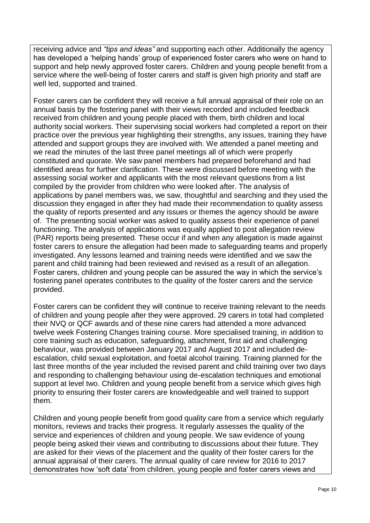receiving advice and *"tips and ideas"* and supporting each other. Additionally the agency has developed a 'helping hands' group of experienced foster carers who were on hand to support and help newly approved foster carers. Children and young people benefit from a service where the well-being of foster carers and staff is given high priority and staff are well led, supported and trained.

Foster carers can be confident they will receive a full annual appraisal of their role on an annual basis by the fostering panel with their views recorded and included feedback received from children and young people placed with them, birth children and local authority social workers. Their supervising social workers had completed a report on their practice over the previous year highlighting their strengths, any issues, training they have attended and support groups they are involved with. We attended a panel meeting and we read the minutes of the last three panel meetings all of which were properly constituted and quorate. We saw panel members had prepared beforehand and had identified areas for further clarification. These were discussed before meeting with the assessing social worker and applicants with the most relevant questions from a list compiled by the provider from children who were looked after. The analysis of applications by panel members was, we saw, thoughtful and searching and they used the discussion they engaged in after they had made their recommendation to quality assess the quality of reports presented and any issues or themes the agency should be aware of. The presenting social worker was asked to quality assess their experience of panel functioning. The analysis of applications was equally applied to post allegation review (PAR) reports being presented. These occur if and when any allegation is made against foster carers to ensure the allegation had been made to safeguarding teams and properly investigated. Any lessons learned and training needs were identified and we saw the parent and child training had been reviewed and revised as a result of an allegation. Foster carers, children and young people can be assured the way in which the service's fostering panel operates contributes to the quality of the foster carers and the service provided.

Foster carers can be confident they will continue to receive training relevant to the needs of children and young people after they were approved. 29 carers in total had completed their NVQ or QCF awards and of these nine carers had attended a more advanced twelve week Fostering Changes training course. More specialised training, in addition to core training such as education, safeguarding, attachment, first aid and challenging behaviour, was provided between January 2017 and August 2017 and included deescalation, child sexual exploitation, and foetal alcohol training. Training planned for the last three months of the year included the revised parent and child training over two days and responding to challenging behaviour using de-escalation techniques and emotional support at level two. Children and young people benefit from a service which gives high priority to ensuring their foster carers are knowledgeable and well trained to support them.

Children and young people benefit from good quality care from a service which regularly monitors, reviews and tracks their progress. It regularly assesses the quality of the service and experiences of children and young people. We saw evidence of young people being asked their views and contributing to discussions about their future. They are asked for their views of the placement and the quality of their foster carers for the annual appraisal of their carers. The annual quality of care review for 2016 to 2017 demonstrates how 'soft data' from children, young people and foster carers views and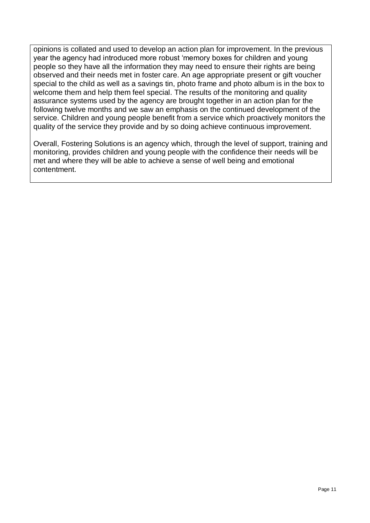opinions is collated and used to develop an action plan for improvement. In the previous year the agency had introduced more robust 'memory boxes for children and young people so they have all the information they may need to ensure their rights are being observed and their needs met in foster care. An age appropriate present or gift voucher special to the child as well as a savings tin, photo frame and photo album is in the box to welcome them and help them feel special. The results of the monitoring and quality assurance systems used by the agency are brought together in an action plan for the following twelve months and we saw an emphasis on the continued development of the service. Children and young people benefit from a service which proactively monitors the quality of the service they provide and by so doing achieve continuous improvement.

Overall, Fostering Solutions is an agency which, through the level of support, training and monitoring, provides children and young people with the confidence their needs will be met and where they will be able to achieve a sense of well being and emotional contentment.